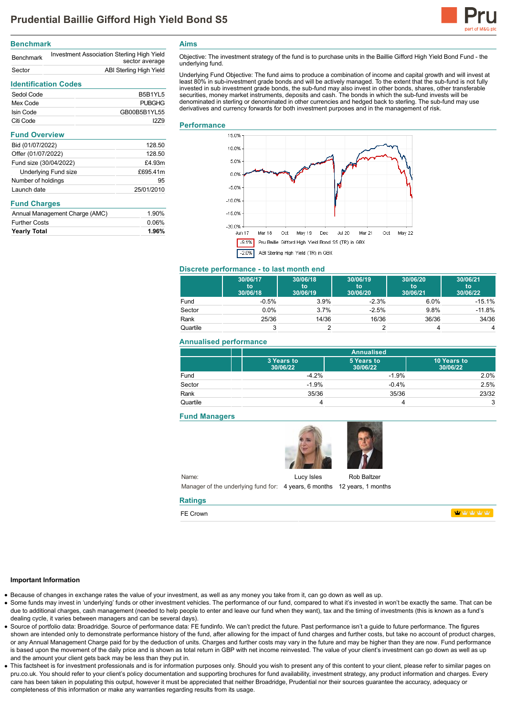

## **Benchmark**

| <b>Benchmark</b> | Investment Association Sterling High Yield<br>sector average |
|------------------|--------------------------------------------------------------|
| Sector           | ABI Sterling High Yield                                      |

# **Identification Codes**

| Sedol Code | B5B1YL5       |
|------------|---------------|
| Mex Code   | <b>PUBGHG</b> |
| Isin Code  | GB00B5B1YL55  |
| Citi Code  | 1279          |

# **Fund Overview**

| Bid (01/07/2022)            | 128.50     |
|-----------------------------|------------|
| Offer (01/07/2022)          | 128.50     |
| Fund size (30/04/2022)      | £4.93m     |
| <b>Underlying Fund size</b> | £695.41m   |
| Number of holdings          | 95         |
| Launch date                 | 25/01/2010 |

### **Fund Charges**

| Annual Management Charge (AMC) | 1.90% |
|--------------------------------|-------|
| <b>Further Costs</b>           | 0.06% |
| <b>Yearly Total</b>            | 1.96% |

**Aims**

Objective: The investment strategy of the fund is to purchase units in the Baillie Gifford High Yield Bond Fund - the underlying fund.

Underlying Fund Objective: The fund aims to produce a combination of income and capital growth and will invest at least 80% in sub-investment grade bonds and will be actively managed. To the extent that the sub-fund is not fully invested in sub investment grade bonds, the sub-fund may also invest in other bonds, shares, other transferable securities, money market instruments, deposits and cash. The bonds in which the sub-fund invests will be denominated in sterling or denominated in other currencies and hedged back to sterling. The sub-fund may use derivatives and currency forwards for both investment purposes and in the management of risk.

# **Performance**



#### **Discrete performance - to last month end**

|          | 30/06/17<br>to<br>30/06/18 | 30/06/18<br>to<br>30/06/19 | 30/06/19<br>to<br>30/06/20 | 30/06/20<br>to<br>30/06/21 | 30/06/21<br>to<br>30/06/22 |
|----------|----------------------------|----------------------------|----------------------------|----------------------------|----------------------------|
| Fund     | $-0.5%$                    | 3.9%                       | $-2.3%$                    | 6.0%                       | $-15.1%$                   |
| Sector   | 0.0%                       | 3.7%                       | $-2.5%$                    | 9.8%                       | $-11.8%$                   |
| Rank     | 25/36                      | 14/36                      | 16/36                      | 36/36                      | 34/36                      |
| Quartile | 3                          |                            |                            |                            | 4                          |

# **Annualised performance**

|          | <b>Annualised</b>      |                        |                         |
|----------|------------------------|------------------------|-------------------------|
|          | 3 Years to<br>30/06/22 | 5 Years to<br>30/06/22 | 10 Years to<br>30/06/22 |
| Fund     | $-4.2%$                | $-1.9%$                | 2.0%                    |
| Sector   | $-1.9%$                | $-0.4%$                | 2.5%                    |
| Rank     | 35/36                  | 35/36                  | 23/32                   |
| Quartile |                        |                        | 3                       |

# **Fund Managers**



Name: Manager of the underlying fund for: 4 years, 6 months 12 years, 1 months

#### **Ratings**

FE Crown

**TO THE TABLE** 

#### **Important Information**

Because of changes in exchange rates the value of your investment, as well as any money you take from it, can go down as well as up.

- Some funds may invest in 'underlying' funds or other investment vehicles. The performance of our fund, compared to what it's invested in won't be exactly the same. That can be due to additional charges, cash management (needed to help people to enter and leave our fund when they want), tax and the timing of investments (this is known as a fund's dealing cycle, it varies between managers and can be several days).
- Source of portfolio data: Broadridge. Source of performance data: FE fundinfo. We can't predict the future. Past performance isn't a guide to future performance. The figures shown are intended only to demonstrate performance history of the fund, after allowing for the impact of fund charges and further costs, but take no account of product charges, or any Annual Management Charge paid for by the deduction of units. Charges and further costs may vary in the future and may be higher than they are now. Fund performance is based upon the movement of the daily price and is shown as total return in GBP with net income reinvested. The value of your client's investment can go down as well as up and the amount your client gets back may be less than they put in.
- This factsheet is for investment professionals and is for information purposes only. Should you wish to present any of this content to your client, please refer to similar pages on pru.co.uk. You should refer to your client's policy documentation and supporting brochures for fund availability, investment strategy, any product information and charges. Every care has been taken in populating this output, however it must be appreciated that neither Broadridge. Prudential nor their sources guarantee the accuracy, adequacy or completeness of this information or make any warranties regarding results from its usage.